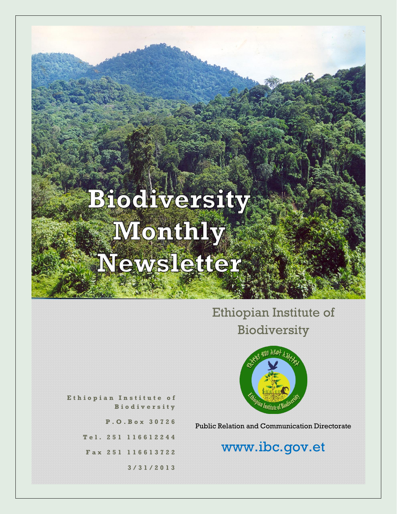## Ethiopian Institute of Biodiversity



**E t h i o p i a n I n s t i t u t e o f B i o d i v e r s i t y**

**P . O . B o x 3 0 7 2 6**

**T e l . 2 5 1 1 1 6 6 1 2 2 4 4**

**F a x 2 5 1 116613722**

**3 / 3 1 / 2 0 1 3**

Public Relation and Communication Directorate

## www.ibc.gov.et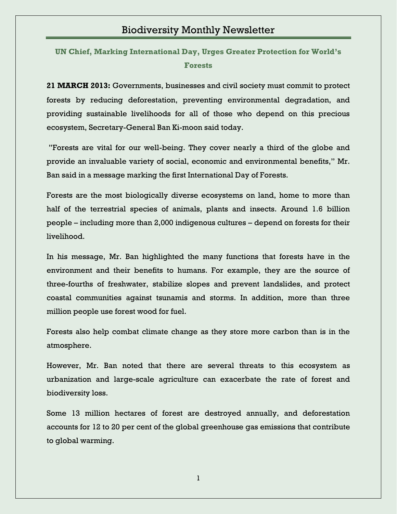**[UN Chief, Marking International Day, Urges Greater Protection for World's](http://www.ibc.gov.et/2756)  [Forests](http://www.ibc.gov.et/2756)**

**21 MARCH 2013:** Governments, businesses and civil society must commit to protect forests by reducing deforestation, preventing environmental degradation, and providing sustainable livelihoods for all of those who depend on this precious ecosystem, Secretary-General Ban Ki-moon said today.

"Forests are vital for our well-being. They cover nearly a third of the globe and provide an invaluable variety of social, economic and environmental benefits," Mr. Ban said in a message marking the first International Day of Forests.

Forests are the most biologically diverse ecosystems on land, home to more than half of the terrestrial species of animals, plants and insects. Around 1.6 billion people – including more than 2,000 indigenous cultures – depend on forests for their livelihood.

In his message, Mr. Ban highlighted the many functions that forests have in the environment and their benefits to humans. For example, they are the source of three-fourths of freshwater, stabilize slopes and prevent landslides, and protect coastal communities against tsunamis and storms. In addition, more than three million people use forest wood for fuel.

Forests also help combat climate change as they store more carbon than is in the atmosphere.

However, Mr. Ban noted that there are several threats to this ecosystem as urbanization and large-scale agriculture can exacerbate the rate of forest and biodiversity loss.

Some 13 million hectares of forest are destroyed annually, and deforestation accounts for 12 to 20 per cent of the global greenhouse gas emissions that contribute to global warming.

1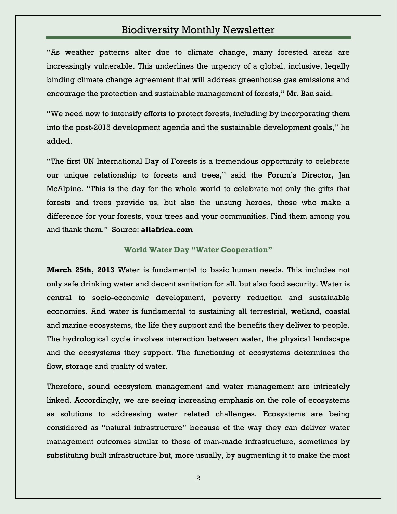"As weather patterns alter due to climate change, many forested areas are increasingly vulnerable. This underlines the urgency of a global, inclusive, legally binding climate change agreement that will address greenhouse gas emissions and encourage the protection and sustainable management of forests," Mr. Ban said.

"We need now to intensify efforts to protect forests, including by incorporating them into the post-2015 development agenda and the sustainable development goals," he added.

"The first UN International Day of Forests is a tremendous opportunity to celebrate our unique relationship to forests and trees," said the Forum's Director, Jan McAlpine. "This is the day for the whole world to celebrate not only the gifts that forests and trees provide us, but also the unsung heroes, those who make a difference for your forests, your trees and your communities. Find them among you and thank them." Source: **allafrica.com**

#### **World Water Day "Water Cooperation"**

**March 25th, 2013** Water is fundamental to basic human needs. This includes not only safe drinking water and decent sanitation for all, but also food security. Water is central to socio-economic development, poverty reduction and sustainable economies. And water is fundamental to sustaining all terrestrial, wetland, coastal and marine ecosystems, the life they support and the benefits they deliver to people. The hydrological cycle involves interaction between water, the physical landscape and the ecosystems they support. The functioning of ecosystems determines the flow, storage and quality of water.

Therefore, sound ecosystem management and water management are intricately linked. Accordingly, we are seeing increasing emphasis on the role of ecosystems as solutions to addressing water related challenges. Ecosystems are being considered as "natural infrastructure" because of the way they can deliver water management outcomes similar to those of man-made infrastructure, sometimes by substituting built infrastructure but, more usually, by augmenting it to make the most

2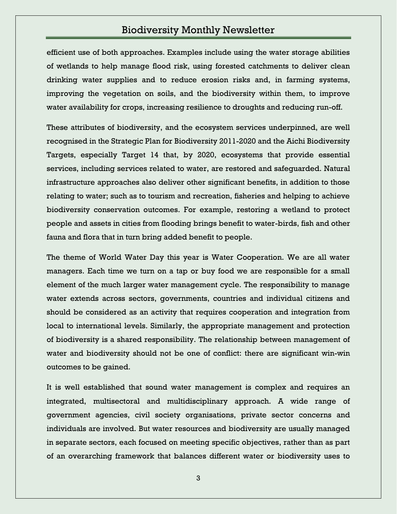efficient use of both approaches. Examples include using the water storage abilities of wetlands to help manage flood risk, using forested catchments to deliver clean drinking water supplies and to reduce erosion risks and, in farming systems, improving the vegetation on soils, and the biodiversity within them, to improve water availability for crops, increasing resilience to droughts and reducing run-off.

These attributes of biodiversity, and the ecosystem services underpinned, are well recognised in the Strategic Plan for Biodiversity 2011-2020 and the Aichi Biodiversity Targets, especially Target 14 that, by 2020, ecosystems that provide essential services, including services related to water, are restored and safeguarded. Natural infrastructure approaches also deliver other significant benefits, in addition to those relating to water; such as to tourism and recreation, fisheries and helping to achieve biodiversity conservation outcomes. For example, restoring a wetland to protect people and assets in cities from flooding brings benefit to water-birds, fish and other fauna and flora that in turn bring added benefit to people.

The theme of World Water Day this year is Water Cooperation. We are all water managers. Each time we turn on a tap or buy food we are responsible for a small element of the much larger water management cycle. The responsibility to manage water extends across sectors, governments, countries and individual citizens and should be considered as an activity that requires cooperation and integration from local to international levels. Similarly, the appropriate management and protection of biodiversity is a shared responsibility. The relationship between management of water and biodiversity should not be one of conflict: there are significant win-win outcomes to be gained.

It is well established that sound water management is complex and requires an integrated, multisectoral and multidisciplinary approach. A wide range of government agencies, civil society organisations, private sector concerns and individuals are involved. But water resources and biodiversity are usually managed in separate sectors, each focused on meeting specific objectives, rather than as part of an overarching framework that balances different water or biodiversity uses to

3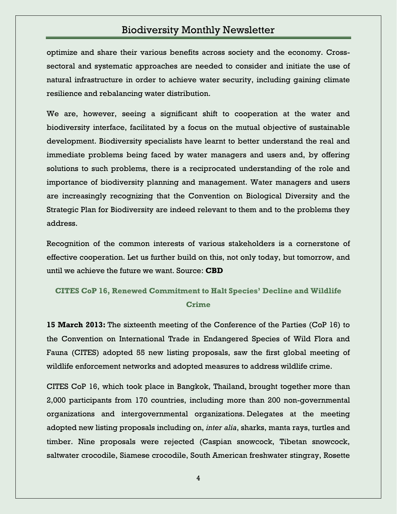optimize and share their various benefits across society and the economy. Crosssectoral and systematic approaches are needed to consider and initiate the use of natural infrastructure in order to achieve water security, including gaining climate resilience and rebalancing water distribution.

We are, however, seeing a significant shift to cooperation at the water and biodiversity interface, facilitated by a focus on the mutual objective of sustainable development. Biodiversity specialists have learnt to better understand the real and immediate problems being faced by water managers and users and, by offering solutions to such problems, there is a reciprocated understanding of the role and importance of biodiversity planning and management. Water managers and users are increasingly recognizing that the Convention on Biological Diversity and the Strategic Plan for Biodiversity are indeed relevant to them and to the problems they address.

Recognition of the common interests of various stakeholders is a cornerstone of effective cooperation. Let us further build on this, not only today, but tomorrow, and until we achieve the future we want. Source: **CBD**

#### **[CITES CoP 16, Renewed Commitment to Halt Species' Decline and Wildlife](http://www.ibc.gov.et/2745)  [Crime](http://www.ibc.gov.et/2745)**

**15 March 2013:** The sixteenth meeting of the Conference of the Parties (CoP 16) to the Convention on International Trade in Endangered Species of Wild Flora and Fauna (CITES) adopted 55 new listing proposals, saw the first global meeting of wildlife enforcement networks and adopted measures to address wildlife crime.

CITES CoP 16, which took place in Bangkok, Thailand, brought together more than 2,000 participants from 170 countries, including more than 200 non-governmental organizations and intergovernmental organizations. Delegates at the meeting adopted new listing proposals including on, *inter alia*, sharks, manta rays, turtles and timber. Nine proposals were rejected (Caspian snowcock, Tibetan snowcock, saltwater crocodile, Siamese crocodile, South American freshwater stingray, Rosette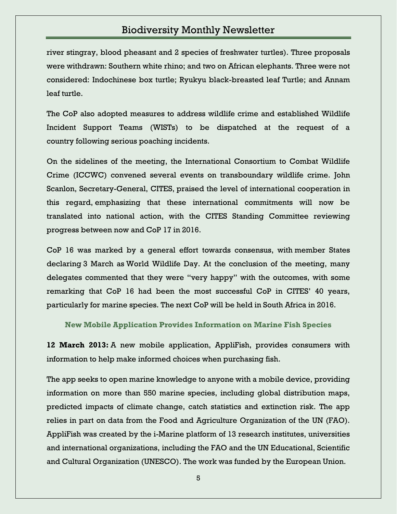river stingray, blood pheasant and 2 species of freshwater turtles). Three proposals were withdrawn: Southern white rhino; and two on African elephants. Three were not considered: Indochinese box turtle; Ryukyu black-breasted leaf Turtle; and Annam leaf turtle.

The CoP also adopted measures to address wildlife crime and established Wildlife Incident Support Teams (WISTs) to be dispatched at the request of a country following serious poaching incidents.

On the sidelines of the meeting, the International Consortium to Combat Wildlife Crime (ICCWC) convened several events on transboundary wildlife crime. John Scanlon, Secretary-General, CITES, praised the level of international cooperation in this regard, emphasizing that these international commitments will now be translated into national action, with the CITES Standing Committee reviewing progress between now and CoP 17 in 2016.

CoP 16 was marked by a general effort towards consensus, with member States declaring 3 March as World Wildlife Day. At the conclusion of the meeting, many delegates commented that they were "very happy" with the outcomes, with some remarking that CoP 16 had been the most successful CoP in CITES' 40 years, particularly for marine species. The next CoP will be held in South Africa in 2016.

**[New Mobile Application Provides Information on Marine Fish Species](http://www.ibc.gov.et/2733)**

**12 March 2013:** A new mobile application, AppliFish, provides consumers with information to help make informed choices when purchasing fish.

The app seeks to open marine knowledge to anyone with a mobile device, providing information on more than 550 marine species, including global distribution maps, predicted impacts of climate change, catch statistics and extinction risk. The app relies in part on data from the Food and Agriculture Organization of the UN (FAO). AppliFish was created by the i-Marine platform of 13 research institutes, universities and international organizations, including the FAO and the UN Educational, Scientific and Cultural Organization (UNESCO). The work was funded by the European Union.